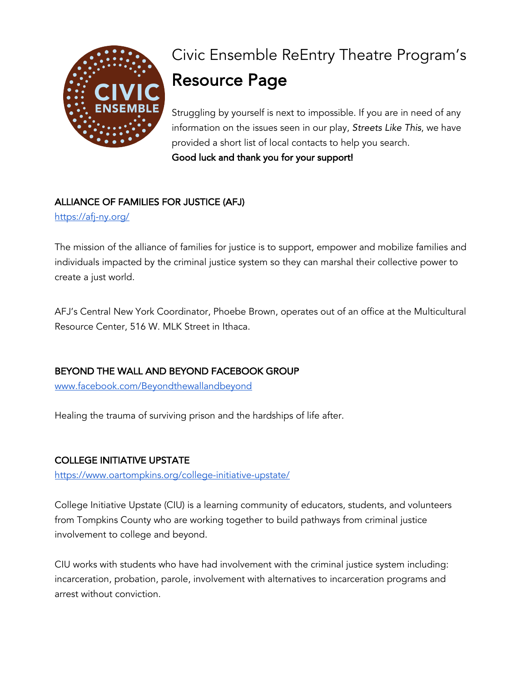

# Civic Ensemble ReEntry Theatre Program's Resource Page

Struggling by yourself is next to impossible. If you are in need of any information on the issues seen in our play, *Streets Like This*, we have provided a short list of local contacts to help you search. Good luck and thank you for your support!

## ALLIANCE OF FAMILIES FOR JUSTICE (AFJ)

https://afj-ny.org/

The mission of the alliance of families for justice is to support, empower and mobilize families and individuals impacted by the criminal justice system so they can marshal their collective power to create a just world.

AFJ's Central New York Coordinator, Phoebe Brown, operates out of an office at the Multicultural Resource Center, 516 W. MLK Street in Ithaca.

### BEYOND THE WALL AND BEYOND FACEBOOK GROUP

www.facebook.com/Beyondthewallandbeyond

Healing the trauma of surviving prison and the hardships of life after.

### COLLEGE INITIATIVE UPSTATE

https://www.oartompkins.org/college-initiative-upstate/

College Initiative Upstate (CIU) is a learning community of educators, students, and volunteers from Tompkins County who are working together to build pathways from criminal justice involvement to college and beyond.

CIU works with students who have had involvement with the criminal justice system including: incarceration, probation, parole, involvement with alternatives to incarceration programs and arrest without conviction.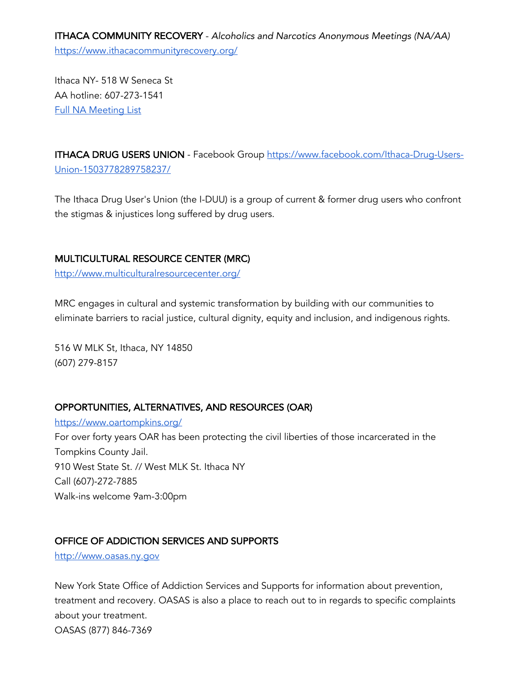ITHACA COMMUNITY RECOVERY - *Alcoholics and Narcotics Anonymous Meetings (NA/AA)* https://www.ithacacommunityrecovery.org/

Ithaca NY- 518 W Seneca St AA hotline: 607-273-1541 Full NA Meeting List

ITHACA DRUG USERS UNION - Facebook Group https://www.facebook.com/Ithaca-Drug-Users-Union-1503778289758237/

The Ithaca Drug User's Union (the I-DUU) is a group of current & former drug users who confront the stigmas & injustices long suffered by drug users.

#### MULTICULTURAL RESOURCE CENTER (MRC)

http://www.multiculturalresourcecenter.org/

MRC engages in cultural and systemic transformation by building with our communities to eliminate barriers to racial justice, cultural dignity, equity and inclusion, and indigenous rights.

516 W MLK St, Ithaca, NY 14850 (607) 279-8157

### OPPORTUNITIES, ALTERNATIVES, AND RESOURCES (OAR)

https://www.oartompkins.org/ For over forty years OAR has been protecting the civil liberties of those incarcerated in the Tompkins County Jail. 910 West State St. // West MLK St. Ithaca NY Call (607)-272-7885 Walk-ins welcome 9am-3:00pm

### OFFICE OF ADDICTION SERVICES AND SUPPORTS

http://www.oasas.ny.gov

New York State Office of Addiction Services and Supports for information about prevention, treatment and recovery. OASAS is also a place to reach out to in regards to specific complaints about your treatment. OASAS (877) 846-7369